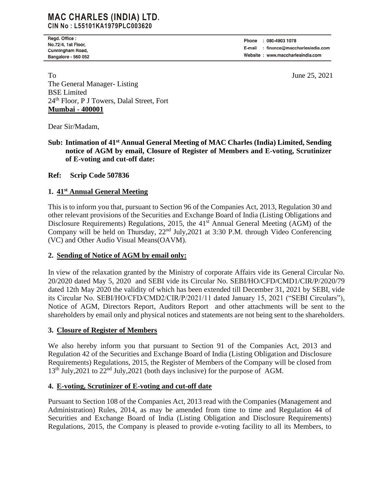## **MAC CHARLES (INDIA) LTD.** CIN No: L55101KA1979PLC003620

Regd. Office : No.72/4, 1st Floor, Cunningham Road, Bangalore - 560 052

: 080-4903 1078 Phone E-mail : finance@maccharlesindia.com Website: www.maccharlesindia.com

To June 25, 2021 The General Manager- Listing BSE Limited 24th Floor, P J Towers, Dalal Street, Fort **Mumbai - 400001**

Dear Sir/Madam,

Sub: Intimation of 41<sup>st</sup> Annual General Meeting of MAC Charles (India) Limited, Sending **notice of AGM by email, Closure of Register of Members and E-voting, Scrutinizer of E-voting and cut-off date:**

### **Ref: Scrip Code 507836**

#### **1. 41 st Annual General Meeting**

This is to inform you that, pursuant to Section 96 of the Companies Act, 2013, Regulation 30 and other relevant provisions of the Securities and Exchange Board of India (Listing Obligations and Disclosure Requirements) Regulations, 2015, the  $41<sup>st</sup>$  Annual General Meeting (AGM) of the Company will be held on Thursday, 22nd July,2021 at 3:30 P.M. through Video Conferencing (VC) and Other Audio Visual Means(OAVM).

#### **2. Sending of Notice of AGM by email only:**

In view of the relaxation granted by the Ministry of corporate Affairs vide its General Circular No. 20/2020 dated May 5, 2020 and SEBI vide its Circular No. SEBI/HO/CFD/CMD1/CIR/P/2020/79 dated 12th May 2020 the validity of which has been extended till December 31, 2021 by SEBI, vide its Circular No. SEBI/HO/CFD/CMD2/CIR/P/2021/11 dated January 15, 2021 ("SEBI Circulars"), Notice of AGM, Directors Report, Auditors Report and other attachments will be sent to the shareholders by email only and physical notices and statements are not being sent to the shareholders.

#### **3. Closure of Register of Members**

We also hereby inform you that pursuant to Section 91 of the Companies Act, 2013 and Regulation 42 of the Securities and Exchange Board of India (Listing Obligation and Disclosure Requirements) Regulations, 2015, the Register of Members of the Company will be closed from  $13<sup>th</sup>$  July, 2021 to  $22<sup>nd</sup>$  July, 2021 (both days inclusive) for the purpose of AGM.

#### **4. E-voting, Scrutinizer of E-voting and cut-off date**

Pursuant to Section 108 of the Companies Act, 2013 read with the Companies (Management and Administration) Rules, 2014, as may be amended from time to time and Regulation 44 of Securities and Exchange Board of India (Listing Obligation and Disclosure Requirements) Regulations, 2015, the Company is pleased to provide e-voting facility to all its Members, to